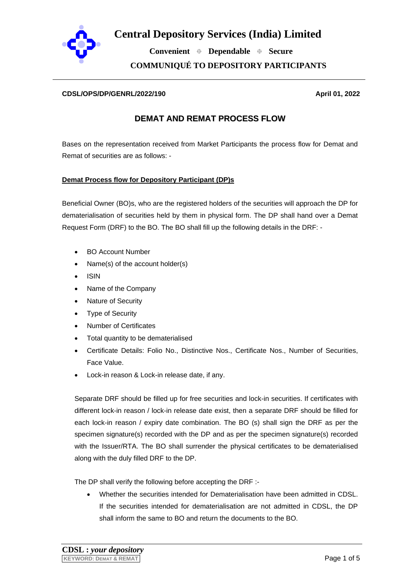

 **Convenient Dependable Secure COMMUNIQUÉ TO DEPOSITORY PARTICIPANTS**

#### **CDSL/OPS/DP/GENRL/2022/190 April 01, 2022**

### **DEMAT AND REMAT PROCESS FLOW**

Bases on the representation received from Market Participants the process flow for Demat and Remat of securities are as follows: -

### **Demat Process flow for Depository Participant (DP)s**

Beneficial Owner (BO)s, who are the registered holders of the securities will approach the DP for dematerialisation of securities held by them in physical form. The DP shall hand over a Demat Request Form (DRF) to the BO. The BO shall fill up the following details in the DRF: -

- BO Account Number
- Name(s) of the account holder(s)
- ISIN
- Name of the Company
- Nature of Security
- **Type of Security**
- Number of Certificates
- Total quantity to be dematerialised
- Certificate Details: Folio No., Distinctive Nos., Certificate Nos., Number of Securities, Face Value.
- Lock-in reason & Lock-in release date, if any.

Separate DRF should be filled up for free securities and lock-in securities. If certificates with different lock-in reason / lock-in release date exist, then a separate DRF should be filled for each lock-in reason / expiry date combination. The BO (s) shall sign the DRF as per the specimen signature(s) recorded with the DP and as per the specimen signature(s) recorded with the Issuer/RTA. The BO shall surrender the physical certificates to be dematerialised along with the duly filled DRF to the DP.

The DP shall verify the following before accepting the DRF :-

• Whether the securities intended for Dematerialisation have been admitted in CDSL. If the securities intended for dematerialisation are not admitted in CDSL, the DP shall inform the same to BO and return the documents to the BO.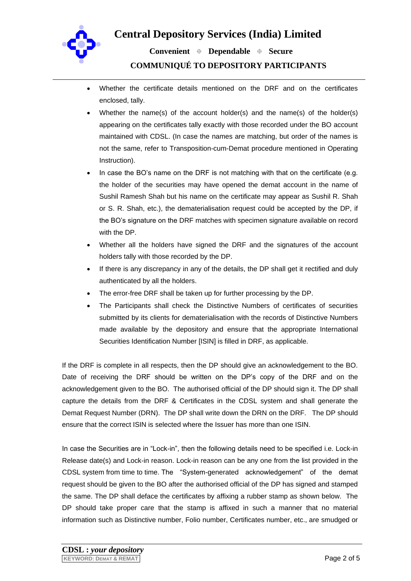

 **Convenient Dependable Secure COMMUNIQUÉ TO DEPOSITORY PARTICIPANTS**

- Whether the certificate details mentioned on the DRF and on the certificates enclosed, tally.
- Whether the name(s) of the account holder(s) and the name(s) of the holder(s) appearing on the certificates tally exactly with those recorded under the BO account maintained with CDSL. (In case the names are matching, but order of the names is not the same, refer to Transposition-cum-Demat procedure mentioned in Operating Instruction).
- In case the BO's name on the DRF is not matching with that on the certificate (e.g. the holder of the securities may have opened the demat account in the name of Sushil Ramesh Shah but his name on the certificate may appear as Sushil R. Shah or S. R. Shah, etc.), the dematerialisation request could be accepted by the DP, if the BO's signature on the DRF matches with specimen signature available on record with the DP.
- Whether all the holders have signed the DRF and the signatures of the account holders tally with those recorded by the DP.
- If there is any discrepancy in any of the details, the DP shall get it rectified and duly authenticated by all the holders.
- The error-free DRF shall be taken up for further processing by the DP.
- The Participants shall check the Distinctive Numbers of certificates of securities submitted by its clients for dematerialisation with the records of Distinctive Numbers made available by the depository and ensure that the appropriate International Securities Identification Number [ISIN] is filled in DRF, as applicable.

If the DRF is complete in all respects, then the DP should give an acknowledgement to the BO. Date of receiving the DRF should be written on the DP's copy of the DRF and on the acknowledgement given to the BO. The authorised official of the DP should sign it. The DP shall capture the details from the DRF & Certificates in the CDSL system and shall generate the Demat Request Number (DRN). The DP shall write down the DRN on the DRF. The DP should ensure that the correct ISIN is selected where the Issuer has more than one ISIN.

In case the Securities are in "Lock-in", then the following details need to be specified i.e. Lock-in Release date(s) and Lock-in reason. Lock-in reason can be any one from the list provided in the CDSL system from time to time. The "System-generated acknowledgement" of the demat request should be given to the BO after the authorised official of the DP has signed and stamped the same. The DP shall deface the certificates by affixing a rubber stamp as shown below. The DP should take proper care that the stamp is affixed in such a manner that no material information such as Distinctive number, Folio number, Certificates number, etc., are smudged or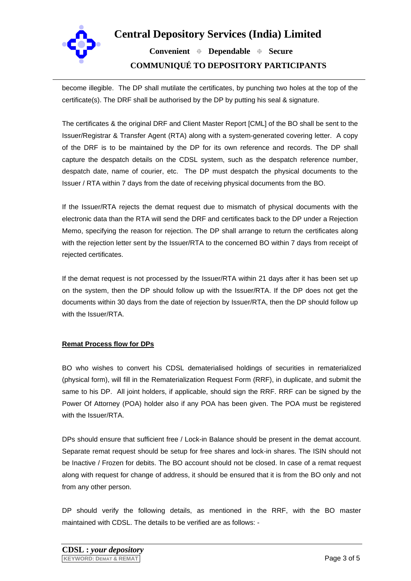

 **Convenient Dependable Secure COMMUNIQUÉ TO DEPOSITORY PARTICIPANTS**

become illegible. The DP shall mutilate the certificates, by punching two holes at the top of the certificate(s). The DRF shall be authorised by the DP by putting his seal & signature.

The certificates & the original DRF and Client Master Report [CML] of the BO shall be sent to the Issuer/Registrar & Transfer Agent (RTA) along with a system-generated covering letter. A copy of the DRF is to be maintained by the DP for its own reference and records. The DP shall capture the despatch details on the CDSL system, such as the despatch reference number, despatch date, name of courier, etc. The DP must despatch the physical documents to the Issuer / RTA within 7 days from the date of receiving physical documents from the BO.

If the Issuer/RTA rejects the demat request due to mismatch of physical documents with the electronic data than the RTA will send the DRF and certificates back to the DP under a Rejection Memo, specifying the reason for rejection. The DP shall arrange to return the certificates along with the rejection letter sent by the Issuer/RTA to the concerned BO within 7 days from receipt of rejected certificates.

If the demat request is not processed by the Issuer/RTA within 21 days after it has been set up on the system, then the DP should follow up with the Issuer/RTA. If the DP does not get the documents within 30 days from the date of rejection by Issuer/RTA, then the DP should follow up with the Issuer/RTA.

### **Remat Process flow for DPs**

BO who wishes to convert his CDSL dematerialised holdings of securities in rematerialized (physical form), will fill in the Rematerialization Request Form (RRF), in duplicate, and submit the same to his DP. All joint holders, if applicable, should sign the RRF. RRF can be signed by the Power Of Attorney (POA) holder also if any POA has been given. The POA must be registered with the Issuer/RTA.

DPs should ensure that sufficient free / Lock-in Balance should be present in the demat account. Separate remat request should be setup for free shares and lock-in shares. The ISIN should not be Inactive / Frozen for debits. The BO account should not be closed. In case of a remat request along with request for change of address, it should be ensured that it is from the BO only and not from any other person.

DP should verify the following details, as mentioned in the RRF, with the BO master maintained with CDSL. The details to be verified are as follows: -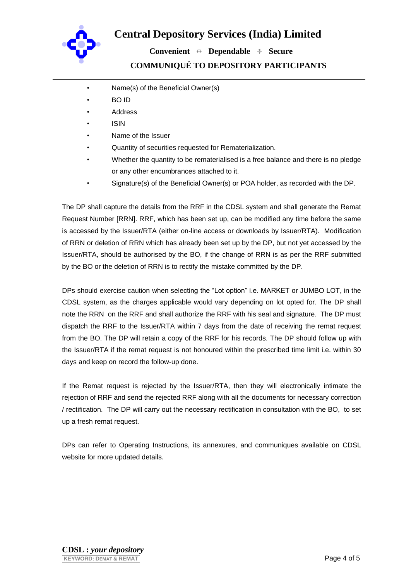

 **Convenient Dependable Secure COMMUNIQUÉ TO DEPOSITORY PARTICIPANTS**

- Name(s) of the Beneficial Owner(s)
- BO ID
- **Address**
- ISIN
- Name of the Issuer
- Quantity of securities requested for Rematerialization.
- Whether the quantity to be rematerialised is a free balance and there is no pledge or any other encumbrances attached to it.
- Signature(s) of the Beneficial Owner(s) or POA holder, as recorded with the DP.

The DP shall capture the details from the RRF in the CDSL system and shall generate the Remat Request Number [RRN]. RRF, which has been set up, can be modified any time before the same is accessed by the Issuer/RTA (either on-line access or downloads by Issuer/RTA). Modification of RRN or deletion of RRN which has already been set up by the DP, but not yet accessed by the Issuer/RTA, should be authorised by the BO, if the change of RRN is as per the RRF submitted by the BO or the deletion of RRN is to rectify the mistake committed by the DP.

DPs should exercise caution when selecting the "Lot option" i.e. MARKET or JUMBO LOT, in the CDSL system, as the charges applicable would vary depending on lot opted for. The DP shall note the RRN on the RRF and shall authorize the RRF with his seal and signature. The DP must dispatch the RRF to the Issuer/RTA within 7 days from the date of receiving the remat request from the BO. The DP will retain a copy of the RRF for his records. The DP should follow up with the Issuer/RTA if the remat request is not honoured within the prescribed time limit i.e. within 30 days and keep on record the follow-up done.

If the Remat request is rejected by the Issuer/RTA, then they will electronically intimate the rejection of RRF and send the rejected RRF along with all the documents for necessary correction / rectification. The DP will carry out the necessary rectification in consultation with the BO, to set up a fresh remat request.

DPs can refer to Operating Instructions, its annexures, and communiques available on CDSL website for more updated details.